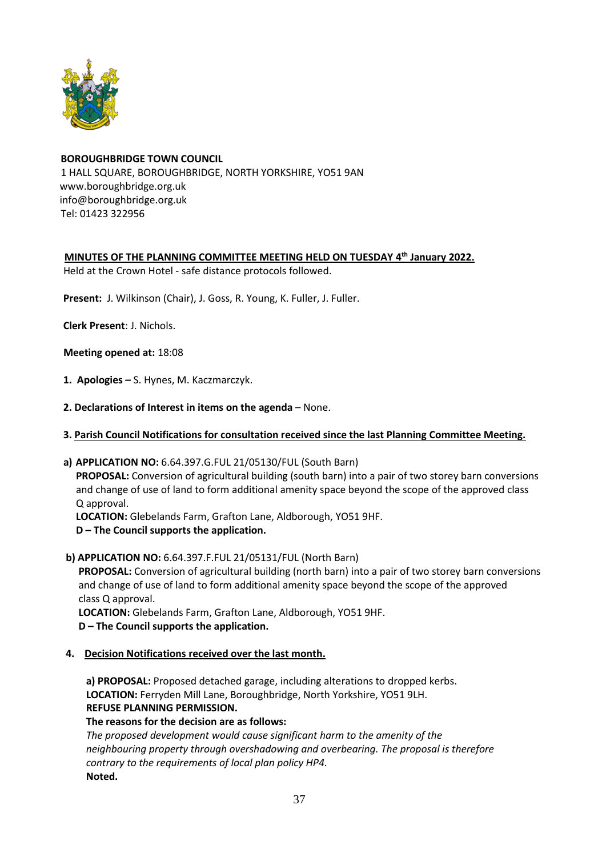

## **BOROUGHBRIDGE TOWN COUNCIL** 1 HALL SQUARE, BOROUGHBRIDGE, NORTH YORKSHIRE, YO51 9AN [www.boroughbridge.org.uk](http://www.boroughbridge.org.uk/) [info@boroughbridge.org.uk](mailto:info@boroughbridge.org.uk) Tel: 01423 322956

 **MINUTES OF THE PLANNING COMMITTEE MEETING HELD ON TUESDAY 4 th January 2022.**

Held at the Crown Hotel - safe distance protocols followed.

 **Present:** J. Wilkinson (Chair), J. Goss, R. Young, K. Fuller, J. Fuller.

 **Clerk Present**: J. Nichols.

 **Meeting opened at:** 18:08

- **1. Apologies –** S. Hynes, M. Kaczmarczyk.
- **2. Declarations of Interest in items on the agenda** None.
- **3. Parish Council Notifications for consultation received since the last Planning Committee Meeting.**
- **a) APPLICATION NO:** 6.64.397.G.FUL 21/05130/FUL (South Barn)

 **PROPOSAL:** Conversion of agricultural building (south barn) into a pair of two storey barn conversions and change of use of land to form additional amenity space beyond the scope of the approved class Q approval.

 **LOCATION:** Glebelands Farm, Grafton Lane, Aldborough, YO51 9HF. **D – The Council supports the application.**

 **b) APPLICATION NO:** 6.64.397.F.FUL 21/05131/FUL (North Barn)

 **PROPOSAL:** Conversion of agricultural building (north barn) into a pair of two storey barn conversions and change of use of land to form additional amenity space beyond the scope of the approved class Q approval.

 **LOCATION:** Glebelands Farm, Grafton Lane, Aldborough, YO51 9HF.

- **D – The Council supports the application.**
- **4. Decision Notifications received over the last month.**

 **a) PROPOSAL:** Proposed detached garage, including alterations to dropped kerbs.  **LOCATION:** Ferryden Mill Lane, Boroughbridge, North Yorkshire, YO51 9LH.  **REFUSE PLANNING PERMISSION.**

 **The reasons for the decision are as follows:**

*The proposed development would cause significant harm to the amenity of the neighbouring property through overshadowing and overbearing. The proposal is therefore contrary to the requirements of local plan policy HP4.* **Noted.**